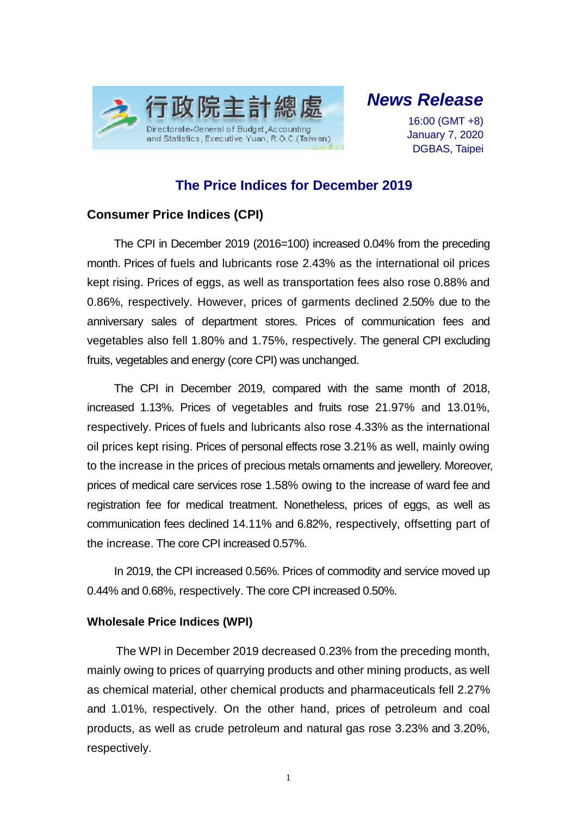

*News Release*

16:00 (GMT +8) January 7, 2020 DGBAS, Taipei

## **The Price Indices for December 2019**

## **Consumer Price Indices (CPI)**

The CPI in December 2019 (2016=100) increased 0.04% from the preceding month. Prices of fuels and lubricants rose 2.43% as the international oil prices kept rising. Prices of eggs, as well as transportation fees also rose 0.88% and 0.86%, respectively. However, prices of garments declined 2.50% due to the anniversary sales of department stores. Prices of communication fees and vegetables also fell 1.80% and 1.75%, respectively. The general CPI excluding fruits, vegetables and energy (core CPI) was unchanged.

The CPI in December 2019, compared with the same month of 2018, increased 1.13%. Prices of vegetables and fruits rose 21.97% and 13.01%, respectively. Prices of fuels and lubricants also rose 4.33% as the international oil prices kept rising. Prices of personal effects rose 3.21% as well, mainly owing to the increase in the prices of precious metals ornaments and jewellery. Moreover, prices of medical care services rose 1.58% owing to the increase of ward fee and registration fee for medical treatment. Nonetheless, prices of eggs, as well as communication fees declined 14.11% and 6.82%, respectively, offsetting part of the increase. The core CPI increased 0.57%.

In 2019, the CPI increased 0.56%. Prices of commodity and service moved up 0.44% and 0.68%, respectively. The core CPI increased 0.50%.

## **Wholesale Price Indices (WPI)**

The WPI in December 2019 decreased 0.23% from the preceding month, mainly owing to prices of quarrying products and other mining products, as well as chemical material, other chemical products and pharmaceuticals fell 2.27% and 1.01%, respectively. On the other hand, prices of petroleum and coal products, as well as crude petroleum and natural gas rose 3.23% and 3.20%, respectively.